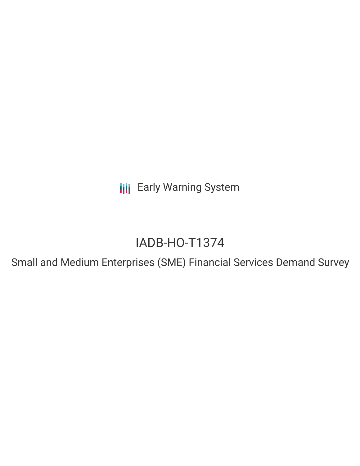**III** Early Warning System

# IADB-HO-T1374

Small and Medium Enterprises (SME) Financial Services Demand Survey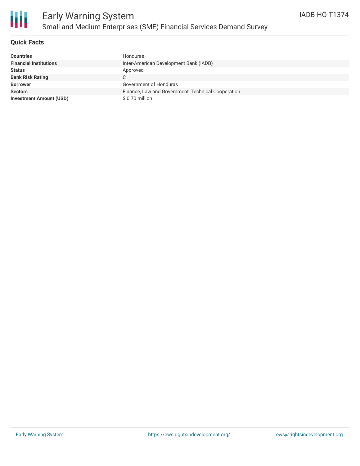

## **Quick Facts**

| <b>Countries</b>               | Honduras                                           |
|--------------------------------|----------------------------------------------------|
| <b>Financial Institutions</b>  | Inter-American Development Bank (IADB)             |
| <b>Status</b>                  | Approved                                           |
| <b>Bank Risk Rating</b>        | C                                                  |
| <b>Borrower</b>                | Government of Honduras                             |
| <b>Sectors</b>                 | Finance, Law and Government, Technical Cooperation |
| <b>Investment Amount (USD)</b> | \$ 0.70 million                                    |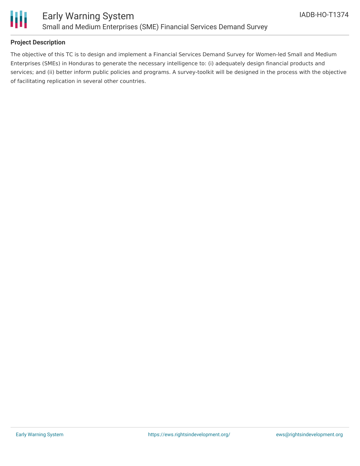

### **Project Description**

The objective of this TC is to design and implement a Financial Services Demand Survey for Women-led Small and Medium Enterprises (SMEs) in Honduras to generate the necessary intelligence to: (i) adequately design financial products and services; and (ii) better inform public policies and programs. A survey-toolkit will be designed in the process with the objective of facilitating replication in several other countries.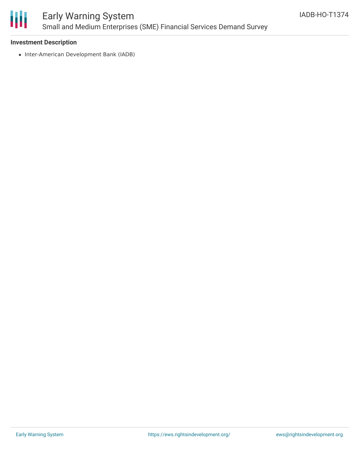

# Early Warning System Small and Medium Enterprises (SME) Financial Services Demand Survey

### **Investment Description**

• Inter-American Development Bank (IADB)